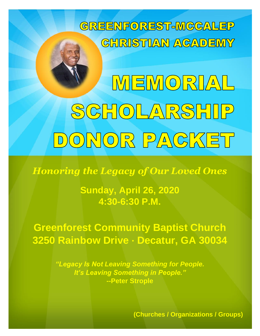

MEMORIAL SCHOLARSHIP DONOR PACKET

*Honoring the Legacy of Our Loved Ones*

**Sunday, April 26, 2020 4:30-6:30 P.M.**

**Greenforest Community Baptist Church 3250 Rainbow Drive ∙ Decatur, GA 30034**

> *"Legacy Is Not Leaving Something for People. It's Leaving Something in People."* **--Peter Strople**

> > **(Churches / Organizations / Groups)**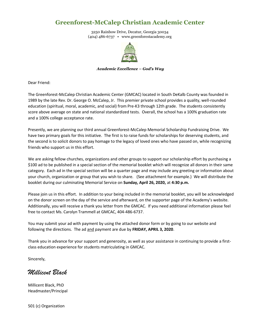#### **Greenforest-McCalep Christian Academic Center**

3250 Rainbow Drive, Decatur, Georgia 30034 (404) 486-6737 • www.greenforestacademy.org



#### *Academic Excellence – God's Way*

Dear Friend:

The Greenforest-McCalep Christian Academic Center (GMCAC) located in South DeKalb County was founded in 1989 by the late Rev. Dr. George O. McCalep, Jr. This premier private school provides a quality, well-rounded education (spiritual, moral, academic, and social) from Pre-K3 through 12th grade. The students consistently score above average on state and national standardized tests. Overall, the school has a 100% graduation rate and a 100% college acceptance rate.

Presently, we are planning our third annual Greenforest-McCalep Memorial Scholarship Fundraising Drive. We have two primary goals for this initiative. The first is to raise funds for scholarships for deserving students, and the second is to solicit donors to pay homage to the legacy of loved ones who have passed on, while recognizing friends who support us in this effort.

We are asking fellow churches, organizations and other groups to support our scholarship effort by purchasing a \$100 ad to be published in a special section of the memorial booklet which will recognize all donors in their same category. Each ad in the special section will be a quarter page and may include any greeting or information about your church, organization or group that you wish to share. (See attachment for example.) We will distribute the booklet during our culminating Memorial Service on **Sunday, April 26, 2020,** at **4:30 p.m.**

Please join us in this effort. In addition to your being included in the memorial booklet, you will be acknowledged on the donor screen on the day of the service and afterward, on the supporter page of the Academy's website. Additionally, you will receive a thank you letter from the GMCAC. If you need additional information please feel free to contact Ms. Carolyn Trammell at GMCAC, 404-486-6737.

You may submit your ad with payment by using the attached donor form or by going to our website and following the directions. The ad and payment are due by **FRIDAY, APRIL 3, 2020**.

Thank you in advance for your support and generosity, as well as your assistance in continuing to provide a firstclass education experience for students matriculating in GMCAC.

Sincerely,

*Millicent Black*

Millicent Black, PhD Headmaster/Principal

501 (c) Organization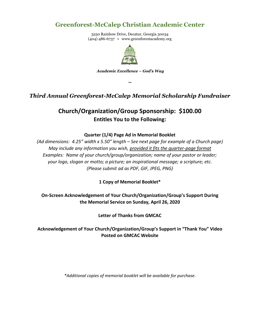### **Greenforest-McCalep Christian Academic Center**

3250 Rainbow Drive, Decatur, Georgia 30034 (404) 486-6737 • www.greenforestacademy.org



*Academic Excellence – God's Way*

**~**

#### *Third Annual Greenforest-McCalep Memorial Scholarship Fundraiser*

## **Church/Organization/Group Sponsorship: \$100.00 Entitles You to the Following:**

#### **Quarter (1/4) Page Ad in Memorial Booklet**

*(Ad dimensions: 4.25" width x 5.50" length – See next page for example of a Church page) May include any information you wish, provided it fits the quarter-page format Examples: Name of your church/group/organization; name of your pastor or leader; your logo, slogan or motto; a picture; an inspirational message; a scripture; etc. (Please submit ad as PDF, GIF, JPEG, PNG)*

**1 Copy of Memorial Booklet\***

**On-Screen Acknowledgement of Your Church/Organization/Group's Support During the Memorial Service on Sunday, April 26, 2020**

**Letter of Thanks from GMCAC**

**Acknowledgement of Your Church/Organization/Group's Support in "Thank You" Video Posted on GMCAC Website**

*\*Additional copies of memorial booklet will be available for purchase.*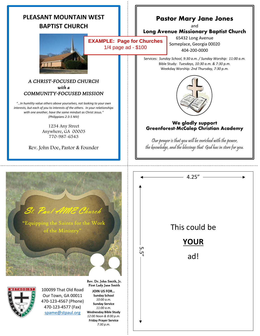| <b>PLEASANT MOUNTAIN WEST</b><br><b>BAPTIST CHURCH</b><br><b>EXAMPLE: Page for Churches</b><br>1/4 page ad - \$100                                                                                                                                                                                                                                                                                                                                                                    |  | <b>Pastor Mary Jane Jones</b><br>and<br>Long Avenue Missionary Baptist Church<br>65432 Long Avenue<br>Someplace, Georgia 00020<br>404-200-0000 |                                                                                                                                                                                                                                                                                                                                                                 |
|---------------------------------------------------------------------------------------------------------------------------------------------------------------------------------------------------------------------------------------------------------------------------------------------------------------------------------------------------------------------------------------------------------------------------------------------------------------------------------------|--|------------------------------------------------------------------------------------------------------------------------------------------------|-----------------------------------------------------------------------------------------------------------------------------------------------------------------------------------------------------------------------------------------------------------------------------------------------------------------------------------------------------------------|
| A CHRIST-FOCUSED CHURCH<br>with a<br>COMMUNITY-FOCUSED MISSION<br>"In humility value others above yourselves, not looking to your own<br>interests, but each of you to interests of the others. In your relationships<br>with one another, have the same mindset as Christ Jesus."<br>(Philippians 2:3-5 NIV)<br>1234 Any Street<br>Anywhere, GA 00003<br>770-987-6543<br>Rev. John Doe, Pastor & Founder                                                                             |  |                                                                                                                                                | Services: Sunday School, 9:30 a.m. / Sunday Worship: 11:00 a.m.<br>Bible Study: Tuesdays, 10:30 a.m. & 7:30 p.m.<br>Weekday Worship: 2nd Thursday, 7:30 p.m.<br>We gladly support<br><b>Greenforest-McCalep Christian Academy</b><br>Our prayer is that you will be enriched with the power,<br>the knowledge, and the blessings that God has in store for you. |
| St. Paul AME Church<br>"Equipping the Saints for the Work<br>of the Ministry'<br>Rev. Dr. John Smith, Jr.<br>First Lady Jane Smith<br><b>METHODIST</b><br>100099 That Old Road<br><b>JOIN US FOR</b><br>z<br>Our Town, GA 00011<br><b>Sunday School</b><br>10:00 a.m.<br>470-123-4567 (Phone)<br><b>Sunday Service</b><br>470-123-4577 (Fax)<br>11:00 a.m.<br><b>Wednesday Bible Study</b><br>spame@stpaul.org<br>12:00 Noon & 8:00 p.m.<br><b>Friday Prayer Service</b><br>7:30 p.m. |  | UП<br>ָה<br>ה                                                                                                                                  | 4.25''<br>This could be<br><b>YOUR</b><br>ad!                                                                                                                                                                                                                                                                                                                   |

 $- - - -$